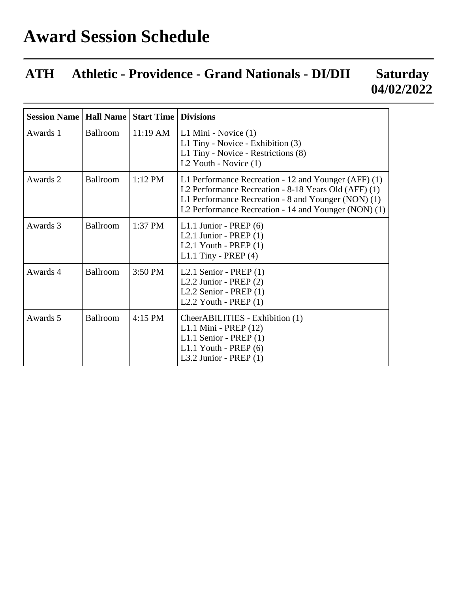## **Award Session Schedule**

## **ATH Athletic - Providence - Grand Nationals - DI/DII Saturday 04/02/2022**

| <b>Session Name</b> | <b>Hall Name</b> | <b>Start Time</b>  | <b>Divisions</b>                                                                                                                                                                                                            |
|---------------------|------------------|--------------------|-----------------------------------------------------------------------------------------------------------------------------------------------------------------------------------------------------------------------------|
| Awards 1            | Ballroom         | $11:19 \text{ AM}$ | L1 Mini - Novice (1)<br>L1 Tiny - Novice - Exhibition (3)<br>L1 Tiny - Novice - Restrictions (8)<br>L2 Youth - Novice (1)                                                                                                   |
| Awards 2            | Ballroom         | $1:12$ PM          | L1 Performance Recreation - 12 and Younger (AFF) (1)<br>L2 Performance Recreation - 8-18 Years Old (AFF) (1)<br>L1 Performance Recreation - 8 and Younger (NON) (1)<br>L2 Performance Recreation - 14 and Younger (NON) (1) |
| Awards 3            | Ballroom         | 1:37 PM            | L1.1 Junior - PREP $(6)$<br>L2.1 Junior - PREP $(1)$<br>L2.1 Youth - $PREF(1)$<br>L1.1 Tiny - PREP $(4)$                                                                                                                    |
| Awards 4            | Ballroom         | 3:50 PM            | L2.1 Senior - PREP $(1)$<br>L2.2 Junior - PREP $(2)$<br>L2.2 Senior - PREP $(1)$<br>L2.2 Youth - $PREF(1)$                                                                                                                  |
| Awards 5            | Ballroom         | 4:15 PM            | CheerABILITIES - Exhibition (1)<br>L1.1 Mini - PREP (12)<br>L1.1 Senior - PREP $(1)$<br>$L1.1$ Youth - PREP $(6)$<br>L3.2 Junior - PREP $(1)$                                                                               |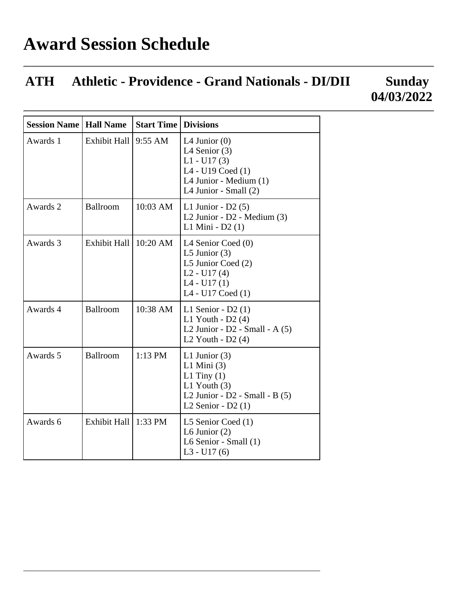## **ATH Athletic - Providence - Grand Nationals - DI/DII Sunday 04/03/2022**

| <b>Session Name   Hall Name</b> |                     | <b>Start Time</b> | <b>Divisions</b>                                                                                                                |
|---------------------------------|---------------------|-------------------|---------------------------------------------------------------------------------------------------------------------------------|
| Awards 1                        | <b>Exhibit Hall</b> | 9:55 AM           | L4 Junior $(0)$<br>L4 Senior $(3)$<br>$L1 - U17(3)$<br>$L4 - U19$ Coed $(1)$<br>L4 Junior - Medium (1)<br>L4 Junior - Small (2) |
| Awards 2                        | Ballroom            | $10:03$ AM        | L1 Junior - $D2(5)$<br>L2 Junior - $D2$ - Medium $(3)$<br>L1 Mini - D2 (1)                                                      |
| Awards 3                        | <b>Exhibit Hall</b> | $10:20$ AM        | L4 Senior Coed (0)<br>L5 Junior $(3)$<br>L5 Junior Coed (2)<br>$L2 - U17(4)$<br>$L4 - U17(1)$<br>L4 - U17 Coed (1)              |
| Awards 4                        | Ballroom            | $10:38$ AM        | L1 Senior - $D2(1)$<br>L1 Youth - $D2(4)$<br>L2 Junior - $D2$ - Small - A $(5)$<br>L2 Youth - $D2(4)$                           |
| Awards 5                        | Ballroom            | $1:13$ PM         | L1 Junior $(3)$<br>$L1$ Mini (3)<br>L1 Tiny $(1)$<br>L1 Youth $(3)$<br>L2 Junior - $D2$ - Small - B $(5)$<br>L2 Senior - D2 (1) |
| Awards 6                        | Exhibit Hall        | $1:33$ PM         | L5 Senior Coed $(1)$<br>L6 Junior $(2)$<br>L6 Senior - Small (1)<br>$L3 - U17(6)$                                               |